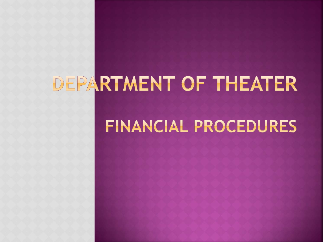# DEPARTMENT OF THEATER

## FINANCIAL PROCEDURES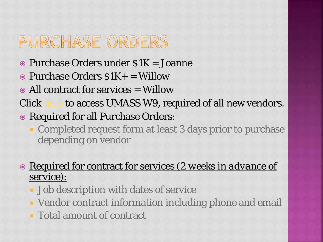## PURCHASE ORDERS

- Purchase Orders under \$1K = Joanne
- $\odot$  Purchase Orders  $$1K+$  = Willow
- All contract for services = Willow

Click [here](https://www.umass.edu/controller/sites/default/files/UMW9_Amh.pdf) to access UMASS W9, required of all new vendors.

- $\odot$  Required for all Purchase Orders:
	- **Completed request form at least 3 days prior to purchase** depending on vendor

 Required for contract for services (*2 weeks in advance of service*):

- **Job description with dates of service**
- Vendor contract information including phone and email
- Total amount of contract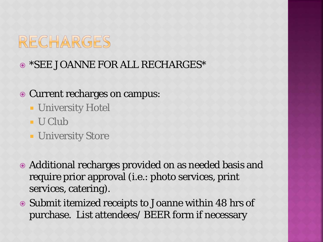### RECHARGES

### \*SEE JOANNE FOR ALL RECHARGES\*

### Current recharges on campus:

- **University Hotel**
- U Club
- **University Store**
- Additional recharges provided on as needed basis and require prior approval (i.e.: photo services, print services, catering).
- Submit itemized receipts to Joanne within 48 hrs of purchase. List attendees/ BEER form if necessary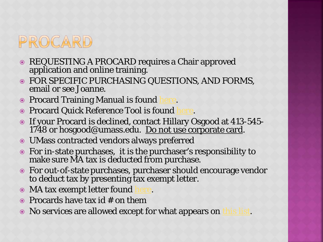

- REQUESTING A PROCARD requires a Chair approved application and online training.
- FOR SPECIFIC PURCHASING QUESTIONS, AND FORMS, email or see Joanne.
- **Procard Training Manual is found**
- **Procard Quick Reference Tool is found**
- If your Procard is declined, contact Hillary Osgood at 413-545- 1748 or hosgood@umass.edu. Do not use corporate card.
- UMass contracted vendors always preferred
- For in-state purchases, it is the purchaser's responsibility to make sure MA tax is deducted from purchase.
- For out-of-state purchases, purchaser should encourage vendor to deduct tax by presenting tax exempt letter.
- $\bullet$  MA tax exempt letter found
- $\bullet$  Procards have tax id # on them
- No services are allowed except for what appears on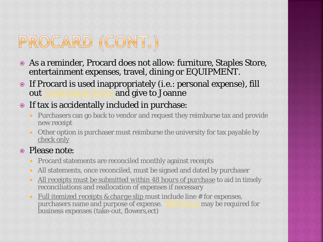## PROCARD (CONT.)

- As a reminder, Procard does not allow: furniture, Staples Store, entertainment expenses, travel, dining or EQUIPMENT.
- If Procard is used inappropriately (i.e.: personal expense), fill out [Justification Form](https://www.umass.edu/controller/procard-explanation-justification-affidavit#overlay=node/427) and give to Joanne

#### If tax is accidentally included in purchase:

- **Purchasers can go back to vendor and request they reimburse tax and provide** new receipt
- Other option is purchaser must reimburse the university for tax payable by check only

#### • Please note:

- **Procard statements are reconciled monthly against receipts**
- All statements, once reconciled, must be signed and dated by purchaser
- *All receipts must be submitted within 48 hours of purchase* to aid in timely reconciliations and reallocation of expenses if necessary
- *<u>Full itemized receipts & charge slip</u>* must include line # for expenses, purchasers name and purpose of expense. [BEER form](https://www.umass.edu/controller/business-expense-form?_ga=2.243834061.999849074.1520285788-659096387.1513173835) may be required for business expenses (take-out, flowers,ect)